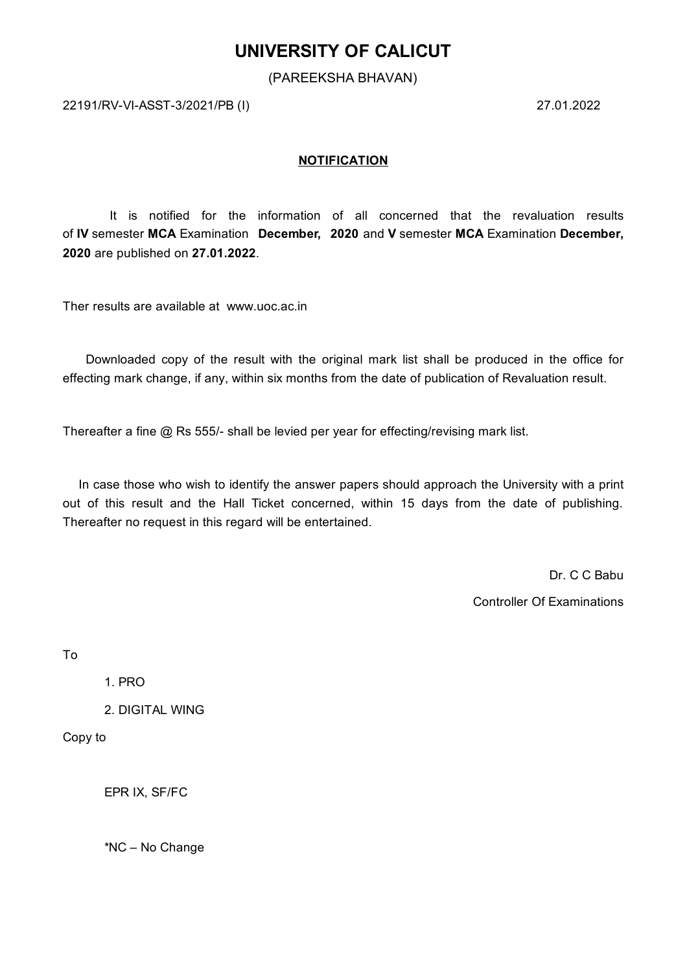## **UNIVERSITY OF CALICUT**

(PAREEKSHA BHAVAN)

22191/RV-VI-ASST-3/2021/PB (I) 27.01.2022

### **NOTIFICATION**

It is notified for the information of all concerned that the revaluation results of **IV** semester **MCA** Examination **December, 2020** and **V** semester **MCA** Examination **December, 2020** are published on **27.01.2022**.

Ther results are available at www.uoc.ac.in

Downloaded copy of the result with the original mark list shall be produced in the office for effecting mark change, if any, within six months from the date of publication of Revaluation result.

Thereafter a fine @ Rs 555/- shall be levied per year for effecting/revising mark list.

In case those who wish to identify the answer papers should approach the University with a print out of this result and the Hall Ticket concerned, within 15 days from the date of publishing. Thereafter no request in this regard will be entertained.

> Dr. C C Babu Controller Of Examinations

To

1. PRO

2. DIGITAL WING

Copy to

EPR IX, SF/FC

\*NC – No Change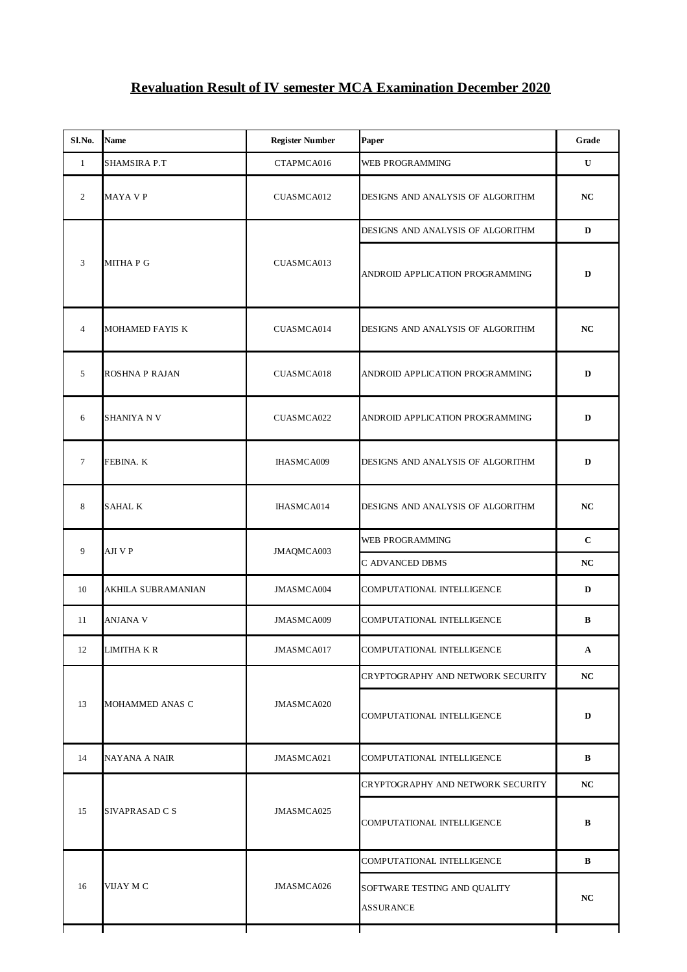# **Revaluation Result of IV semester MCA Examination December 2020**

| Sl.No.         | Name                | <b>Register Number</b> | Paper                                                                                                                              | Grade        |
|----------------|---------------------|------------------------|------------------------------------------------------------------------------------------------------------------------------------|--------------|
| $\mathbf{1}$   | <b>SHAMSIRA P.T</b> | CTAPMCA016             | WEB PROGRAMMING                                                                                                                    | U            |
| $\overline{2}$ | MAYA V P            | CUASMCA012             | DESIGNS AND ANALYSIS OF ALGORITHM                                                                                                  | NC           |
|                |                     | CUASMCA013             | DESIGNS AND ANALYSIS OF ALGORITHM                                                                                                  | D            |
| 3              | MITHA P G           |                        | ANDROID APPLICATION PROGRAMMING                                                                                                    | D            |
| $\overline{4}$ | MOHAMED FAYIS K     | CUASMCA014             | DESIGNS AND ANALYSIS OF ALGORITHM                                                                                                  | NC           |
| 5              | ROSHNA P RAJAN      | CUASMCA018             | ANDROID APPLICATION PROGRAMMING                                                                                                    | D            |
| 6              | SHANIYA N V         | CUASMCA022             | ANDROID APPLICATION PROGRAMMING                                                                                                    | D            |
| $\overline{7}$ | FEBINA. K           | IHASMCA009             | DESIGNS AND ANALYSIS OF ALGORITHM                                                                                                  | D            |
| 8              | SAHAL K             | IHASMCA014             | DESIGNS AND ANALYSIS OF ALGORITHM                                                                                                  | NC           |
| 9              | AJI V P             | JMAQMCA003             | WEB PROGRAMMING                                                                                                                    | $\mathbf C$  |
|                |                     |                        | C ADVANCED DBMS                                                                                                                    | NC           |
| 10             | AKHILA SUBRAMANIAN  | JMASMCA004             | COMPUTATIONAL INTELLIGENCE                                                                                                         | D            |
| 11             | ANJANA V            | JMASMCA009             | COMPUTATIONAL INTELLIGENCE                                                                                                         | $\, {\bf B}$ |
| 12             | LIMITHA K R         | JMASMCA017             | COMPUTATIONAL INTELLIGENCE                                                                                                         | $\mathbf{A}$ |
|                |                     |                        | CRYPTOGRAPHY AND NETWORK SECURITY<br>COMPUTATIONAL INTELLIGENCE<br>COMPUTATIONAL INTELLIGENCE<br>CRYPTOGRAPHY AND NETWORK SECURITY | NC           |
| 13             | MOHAMMED ANAS C     | JMASMCA020             |                                                                                                                                    | D            |
| 14             | NAYANA A NAIR       | JMASMCA021             |                                                                                                                                    | В            |
|                | SIVAPRASAD C S      | JMASMCA025             |                                                                                                                                    | NC           |
| 15             |                     |                        | COMPUTATIONAL INTELLIGENCE                                                                                                         | в            |
| 16             | VIJAY M C           | JMASMCA026             | COMPUTATIONAL INTELLIGENCE                                                                                                         | B            |
|                |                     |                        | SOFTWARE TESTING AND QUALITY<br>ASSURANCE                                                                                          | NC           |
|                |                     |                        |                                                                                                                                    |              |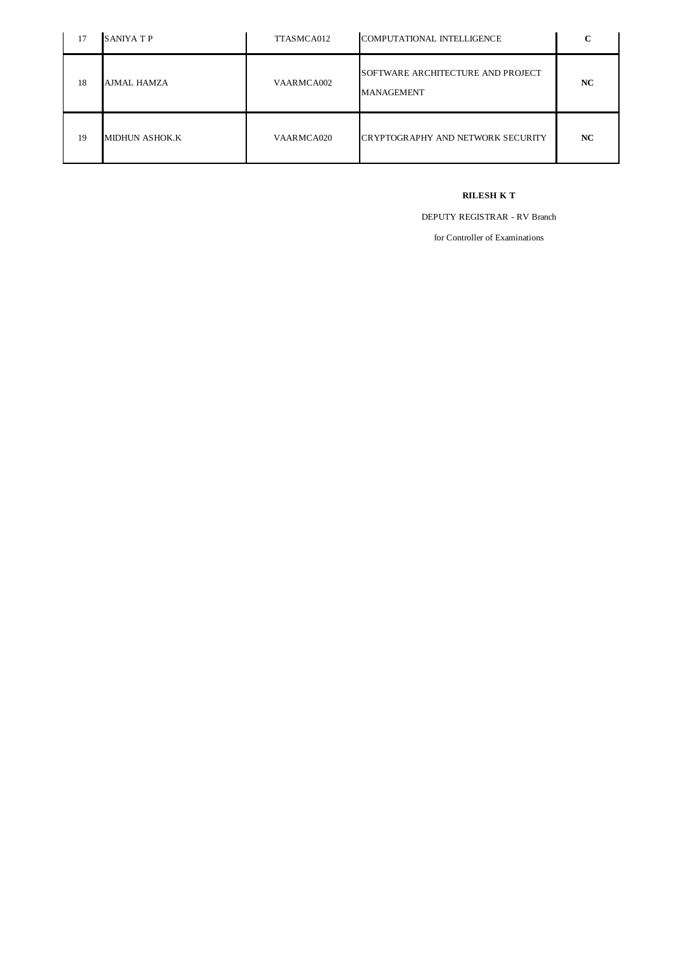| 17 | SANIYA T P     | TTASMCA012 | COMPUTATIONAL INTELLIGENCE                             | ⌒         |
|----|----------------|------------|--------------------------------------------------------|-----------|
| 18 | AJMAL HAMZA    | VAARMCA002 | SOFTWARE ARCHITECTURE AND PROJECT<br><b>MANAGEMENT</b> | <b>NC</b> |
| 19 | MIDHUN ASHOK.K | VAARMCA020 | CRYPTOGRAPHY AND NETWORK SECURITY                      | <b>NC</b> |

#### **RILESH K T**

DEPUTY REGISTRAR - RV Branch

for Controller of Examinations